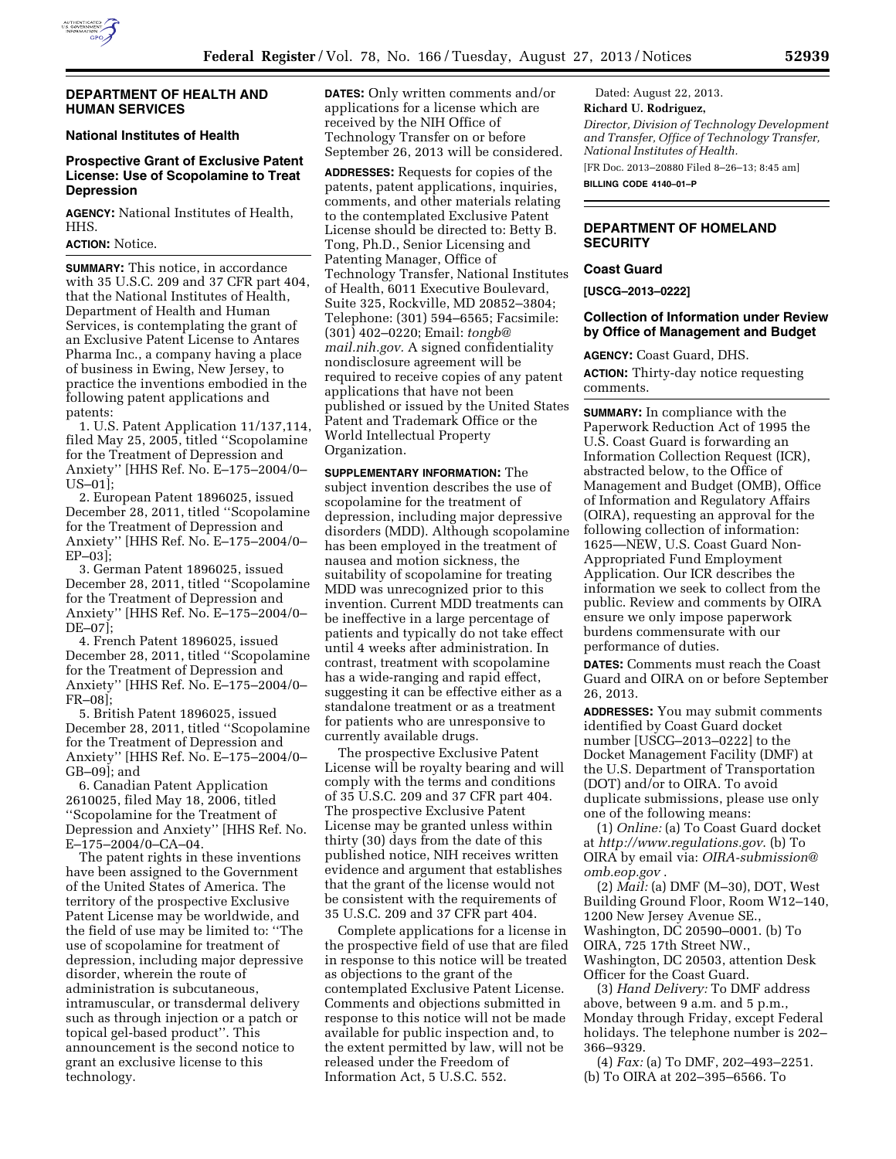

### **DEPARTMENT OF HEALTH AND HUMAN SERVICES**

# **National Institutes of Health**

# **Prospective Grant of Exclusive Patent License: Use of Scopolamine to Treat Depression**

**AGENCY:** National Institutes of Health, HHS.

# **ACTION:** Notice.

**SUMMARY:** This notice, in accordance with 35 U.S.C. 209 and 37 CFR part 404, that the National Institutes of Health, Department of Health and Human Services, is contemplating the grant of an Exclusive Patent License to Antares Pharma Inc., a company having a place of business in Ewing, New Jersey, to practice the inventions embodied in the following patent applications and patents:

1. U.S. Patent Application 11/137,114, filed May 25, 2005, titled ''Scopolamine for the Treatment of Depression and Anxiety'' [HHS Ref. No. E–175–2004/0– US–01];

2. European Patent 1896025, issued December 28, 2011, titled ''Scopolamine for the Treatment of Depression and Anxiety'' [HHS Ref. No. E–175–2004/0– EP–03];

3. German Patent 1896025, issued December 28, 2011, titled ''Scopolamine for the Treatment of Depression and Anxiety'' [HHS Ref. No. E–175–2004/0– DE–07];

4. French Patent 1896025, issued December 28, 2011, titled ''Scopolamine for the Treatment of Depression and Anxiety'' [HHS Ref. No. E–175–2004/0– FR–08];

5. British Patent 1896025, issued December 28, 2011, titled ''Scopolamine for the Treatment of Depression and Anxiety'' [HHS Ref. No. E–175–2004/0– GB–09]; and

6. Canadian Patent Application 2610025, filed May 18, 2006, titled ''Scopolamine for the Treatment of Depression and Anxiety'' [HHS Ref. No. E–175–2004/0–CA–04.

The patent rights in these inventions have been assigned to the Government of the United States of America. The territory of the prospective Exclusive Patent License may be worldwide, and the field of use may be limited to: ''The use of scopolamine for treatment of depression, including major depressive disorder, wherein the route of administration is subcutaneous, intramuscular, or transdermal delivery such as through injection or a patch or topical gel-based product''. This announcement is the second notice to grant an exclusive license to this technology.

**DATES:** Only written comments and/or applications for a license which are received by the NIH Office of Technology Transfer on or before September 26, 2013 will be considered.

**ADDRESSES:** Requests for copies of the patents, patent applications, inquiries, comments, and other materials relating to the contemplated Exclusive Patent License should be directed to: Betty B. Tong, Ph.D., Senior Licensing and Patenting Manager, Office of Technology Transfer, National Institutes of Health, 6011 Executive Boulevard, Suite 325, Rockville, MD 20852–3804; Telephone: (301) 594–6565; Facsimile: (301) 402–0220; Email: *[tongb@](mailto:tongb@mail.nih.gov) [mail.nih.gov.](mailto:tongb@mail.nih.gov)* A signed confidentiality nondisclosure agreement will be required to receive copies of any patent applications that have not been published or issued by the United States Patent and Trademark Office or the World Intellectual Property Organization.

**SUPPLEMENTARY INFORMATION:** The subject invention describes the use of scopolamine for the treatment of depression, including major depressive disorders (MDD). Although scopolamine has been employed in the treatment of nausea and motion sickness, the suitability of scopolamine for treating MDD was unrecognized prior to this invention. Current MDD treatments can be ineffective in a large percentage of patients and typically do not take effect until 4 weeks after administration. In contrast, treatment with scopolamine has a wide-ranging and rapid effect, suggesting it can be effective either as a standalone treatment or as a treatment for patients who are unresponsive to currently available drugs.

The prospective Exclusive Patent License will be royalty bearing and will comply with the terms and conditions of 35 U.S.C. 209 and 37 CFR part 404. The prospective Exclusive Patent License may be granted unless within thirty (30) days from the date of this published notice, NIH receives written evidence and argument that establishes that the grant of the license would not be consistent with the requirements of 35 U.S.C. 209 and 37 CFR part 404.

Complete applications for a license in the prospective field of use that are filed in response to this notice will be treated as objections to the grant of the contemplated Exclusive Patent License. Comments and objections submitted in response to this notice will not be made available for public inspection and, to the extent permitted by law, will not be released under the Freedom of Information Act, 5 U.S.C. 552.

Dated: August 22, 2013. **Richard U. Rodriguez,**  *Director, Division of Technology Development and Transfer, Office of Technology Transfer, National Institutes of Health.*  [FR Doc. 2013–20880 Filed 8–26–13; 8:45 am]

**BILLING CODE 4140–01–P** 

# **DEPARTMENT OF HOMELAND SECURITY**

#### **Coast Guard**

**[USCG–2013–0222]** 

### **Collection of Information under Review by Office of Management and Budget**

**AGENCY:** Coast Guard, DHS. **ACTION:** Thirty-day notice requesting comments.

**SUMMARY:** In compliance with the Paperwork Reduction Act of 1995 the U.S. Coast Guard is forwarding an Information Collection Request (ICR), abstracted below, to the Office of Management and Budget (OMB), Office of Information and Regulatory Affairs (OIRA), requesting an approval for the following collection of information: 1625—NEW, U.S. Coast Guard Non-Appropriated Fund Employment Application. Our ICR describes the information we seek to collect from the public. Review and comments by OIRA ensure we only impose paperwork burdens commensurate with our performance of duties.

**DATES:** Comments must reach the Coast Guard and OIRA on or before September 26, 2013.

**ADDRESSES:** You may submit comments identified by Coast Guard docket number [USCG–2013–0222] to the Docket Management Facility (DMF) at the U.S. Department of Transportation (DOT) and/or to OIRA. To avoid duplicate submissions, please use only one of the following means:

(1) *Online:* (a) To Coast Guard docket at *<http://www.regulations.gov>*. (b) To OIRA by email via: *[OIRA-submission@](mailto:OIRA-submission@omb.eop.gov) [omb.eop.gov](mailto:OIRA-submission@omb.eop.gov)* .

(2) *Mail:* (a) DMF (M–30), DOT, West Building Ground Floor, Room W12–140, 1200 New Jersey Avenue SE., Washington, DC 20590–0001. (b) To OIRA, 725 17th Street NW., Washington, DC 20503, attention Desk Officer for the Coast Guard.

(3) *Hand Delivery:* To DMF address above, between 9 a.m. and 5 p.m., Monday through Friday, except Federal holidays. The telephone number is 202– 366–9329.

(4) *Fax:* (a) To DMF, 202–493–2251. (b) To OIRA at 202–395–6566. To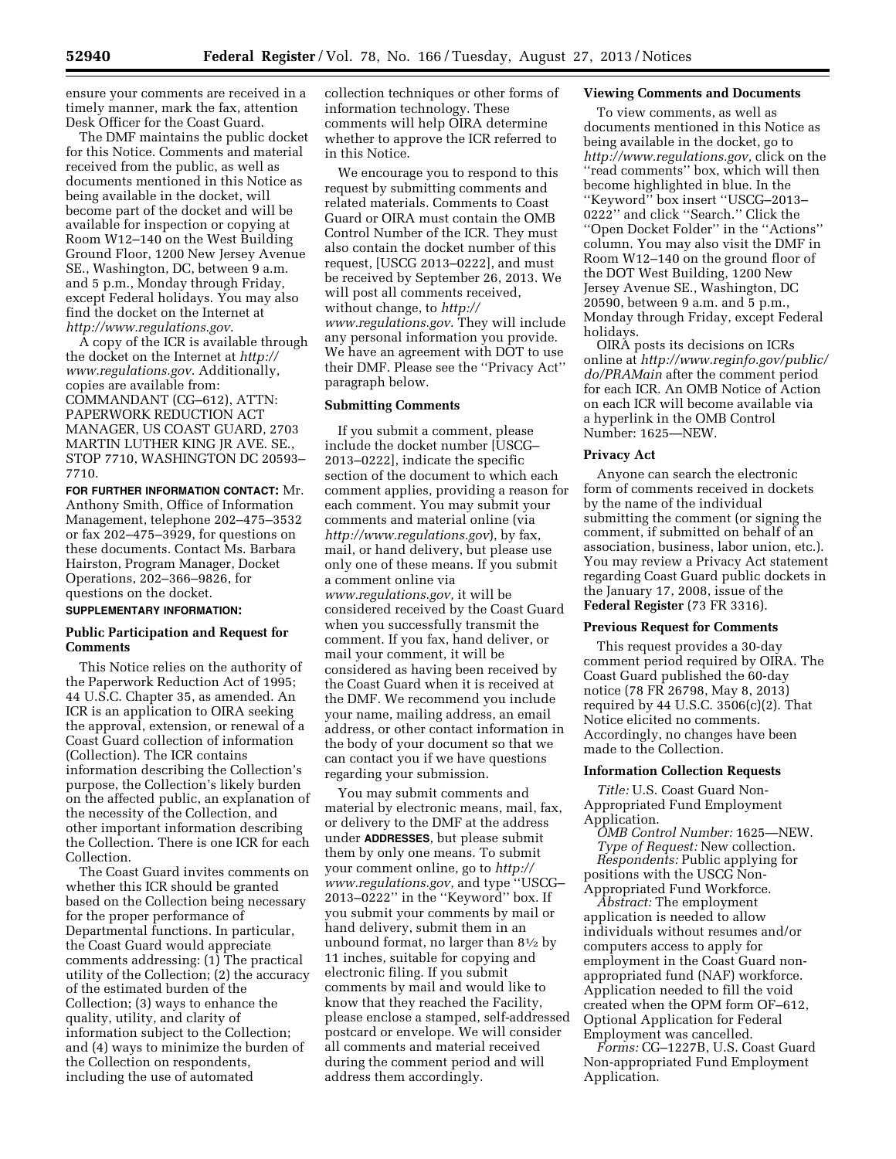ensure your comments are received in a timely manner, mark the fax, attention Desk Officer for the Coast Guard.

The DMF maintains the public docket for this Notice. Comments and material received from the public, as well as documents mentioned in this Notice as being available in the docket, will become part of the docket and will be available for inspection or copying at Room W12–140 on the West Building Ground Floor, 1200 New Jersey Avenue SE., Washington, DC, between 9 a.m. and 5 p.m., Monday through Friday, except Federal holidays. You may also find the docket on the Internet at *<http://www.regulations.gov>*.

A copy of the ICR is available through the docket on the Internet at *[http://](http://www.regulations.gov) [www.regulations.gov](http://www.regulations.gov)*. Additionally, copies are available from: COMMANDANT (CG–612), ATTN: PAPERWORK REDUCTION ACT MANAGER, US COAST GUARD, 2703 MARTIN LUTHER KING JR AVE. SE., STOP 7710, WASHINGTON DC 20593– 7710.

**FOR FURTHER INFORMATION CONTACT:** Mr. Anthony Smith, Office of Information Management, telephone 202–475–3532 or fax 202–475–3929, for questions on these documents. Contact Ms. Barbara Hairston, Program Manager, Docket Operations, 202–366–9826, for questions on the docket.

# **SUPPLEMENTARY INFORMATION:**

# **Public Participation and Request for Comments**

This Notice relies on the authority of the Paperwork Reduction Act of 1995; 44 U.S.C. Chapter 35, as amended. An ICR is an application to OIRA seeking the approval, extension, or renewal of a Coast Guard collection of information (Collection). The ICR contains information describing the Collection's purpose, the Collection's likely burden on the affected public, an explanation of the necessity of the Collection, and other important information describing the Collection. There is one ICR for each Collection.

The Coast Guard invites comments on whether this ICR should be granted based on the Collection being necessary for the proper performance of Departmental functions. In particular, the Coast Guard would appreciate comments addressing: (1) The practical utility of the Collection; (2) the accuracy of the estimated burden of the Collection; (3) ways to enhance the quality, utility, and clarity of information subject to the Collection; and (4) ways to minimize the burden of the Collection on respondents, including the use of automated

collection techniques or other forms of information technology. These comments will help OIRA determine whether to approve the ICR referred to in this Notice.

We encourage you to respond to this request by submitting comments and related materials. Comments to Coast Guard or OIRA must contain the OMB Control Number of the ICR. They must also contain the docket number of this request, [USCG 2013–0222], and must be received by September 26, 2013. We will post all comments received, without change, to *[http://](http://www.regulations.gov) [www.regulations.gov](http://www.regulations.gov)*. They will include any personal information you provide. We have an agreement with DOT to use their DMF. Please see the ''Privacy Act'' paragraph below.

# **Submitting Comments**

If you submit a comment, please include the docket number [USCG– 2013–0222], indicate the specific section of the document to which each comment applies, providing a reason for each comment. You may submit your comments and material online (via *<http://www.regulations.gov>*), by fax, mail, or hand delivery, but please use only one of these means. If you submit a comment online via *[www.regulations.gov,](http://www.regulations.gov)* it will be considered received by the Coast Guard when you successfully transmit the comment. If you fax, hand deliver, or mail your comment, it will be considered as having been received by the Coast Guard when it is received at the DMF. We recommend you include your name, mailing address, an email address, or other contact information in the body of your document so that we can contact you if we have questions regarding your submission.

You may submit comments and material by electronic means, mail, fax, or delivery to the DMF at the address under **ADDRESSES**, but please submit them by only one means. To submit your comment online, go to *[http://](http://www.regulations.gov) [www.regulations.gov,](http://www.regulations.gov)* and type ''USCG– 2013–0222'' in the ''Keyword'' box. If you submit your comments by mail or hand delivery, submit them in an unbound format, no larger than 81⁄2 by 11 inches, suitable for copying and electronic filing. If you submit comments by mail and would like to know that they reached the Facility, please enclose a stamped, self-addressed postcard or envelope. We will consider all comments and material received during the comment period and will address them accordingly.

## **Viewing Comments and Documents**

To view comments, as well as documents mentioned in this Notice as being available in the docket, go to *[http://www.regulations.gov,](http://www.regulations.gov)* click on the ''read comments'' box, which will then become highlighted in blue. In the ''Keyword'' box insert ''USCG–2013– 0222'' and click ''Search.'' Click the ''Open Docket Folder'' in the ''Actions'' column. You may also visit the DMF in Room W12–140 on the ground floor of the DOT West Building, 1200 New Jersey Avenue SE., Washington, DC 20590, between 9 a.m. and 5 p.m., Monday through Friday, except Federal holidays.

OIRA posts its decisions on ICRs online at *[http://www.reginfo.gov/public/](http://www.reginfo.gov/public/do/PRAMain) [do/PRAMain](http://www.reginfo.gov/public/do/PRAMain)* after the comment period for each ICR. An OMB Notice of Action on each ICR will become available via a hyperlink in the OMB Control Number: 1625—NEW.

#### **Privacy Act**

Anyone can search the electronic form of comments received in dockets by the name of the individual submitting the comment (or signing the comment, if submitted on behalf of an association, business, labor union, etc.). You may review a Privacy Act statement regarding Coast Guard public dockets in the January 17, 2008, issue of the **Federal Register** (73 FR 3316).

#### **Previous Request for Comments**

This request provides a 30-day comment period required by OIRA. The Coast Guard published the 60-day notice (78 FR 26798, May 8, 2013) required by 44 U.S.C. 3506(c)(2). That Notice elicited no comments. Accordingly, no changes have been made to the Collection.

### **Information Collection Requests**

*Title:* U.S. Coast Guard Non-Appropriated Fund Employment Application.

*OMB Control Number:* 1625—NEW. *Type of Request:* New collection. *Respondents:* Public applying for positions with the USCG Non-Appropriated Fund Workforce.

*Abstract:* The employment application is needed to allow individuals without resumes and/or computers access to apply for employment in the Coast Guard nonappropriated fund (NAF) workforce. Application needed to fill the void created when the OPM form OF–612, Optional Application for Federal Employment was cancelled.

*Forms:* CG–1227B, U.S. Coast Guard Non-appropriated Fund Employment Application.